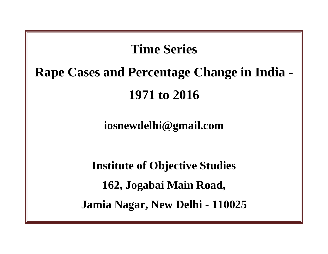## **Time Series**

## **Rape Cases and Percentage Change in India - 1971 to 2016**

## **iosnewdelhi@gmail.com**

**Institute of Objective Studies 162, Jogabai Main Road, Jamia Nagar, New Delhi - 110025**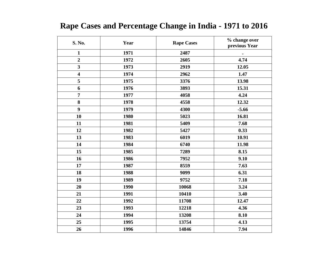## **Rape Cases and Percentage Change in India - 1971 to 2016**

| S. No.                  | Year | <b>Rape Cases</b> | % change over<br>previous Year |
|-------------------------|------|-------------------|--------------------------------|
| $\mathbf{1}$            | 1971 | 2487              |                                |
| $\overline{2}$          | 1972 | 2605              | 4.74                           |
| $\overline{\mathbf{3}}$ | 1973 | 2919              | 12.05                          |
| $\overline{\mathbf{4}}$ | 1974 | 2962              | 1.47                           |
| 5                       | 1975 | 3376              | 13.98                          |
| 6                       | 1976 | 3893              | 15.31                          |
| $\overline{7}$          | 1977 | 4058              | 4.24                           |
| 8                       | 1978 | 4558              | 12.32                          |
| $\boldsymbol{9}$        | 1979 | 4300              | $-5.66$                        |
| 10                      | 1980 | 5023              | 16.81                          |
| 11                      | 1981 | 5409              | 7.68                           |
| 12                      | 1982 | 5427              | 0.33                           |
| 13                      | 1983 | 6019              | 10.91                          |
| 14                      | 1984 | 6740              | 11.98                          |
| 15                      | 1985 | 7289              | 8.15                           |
| 16                      | 1986 | 7952              | 9.10                           |
| 17                      | 1987 | 8559              | 7.63                           |
| 18                      | 1988 | 9099              | 6.31                           |
| 19                      | 1989 | 9752              | 7.18                           |
| 20                      | 1990 | 10068             | 3.24                           |
| 21                      | 1991 | 10410             | 3.40                           |
| 22                      | 1992 | 11708             | 12.47                          |
| 23                      | 1993 | 12218             | 4.36                           |
| 24                      | 1994 | 13208             | 8.10                           |
| 25                      | 1995 | 13754             | 4.13                           |
| 26                      | 1996 | 14846             | 7.94                           |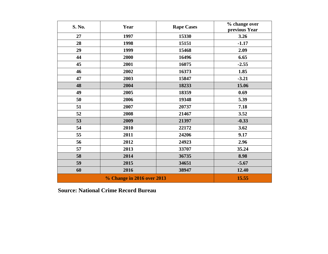| S. No.                            | Year | <b>Rape Cases</b> | % change over<br>previous Year |
|-----------------------------------|------|-------------------|--------------------------------|
| 27                                | 1997 | 15330             | 3.26                           |
| 28                                | 1998 | 15151             | $-1.17$                        |
| 29                                | 1999 | 15468             | 2.09                           |
| 44                                | 2000 | 16496             | 6.65                           |
| 45                                | 2001 | 16075             | $-2.55$                        |
| 46                                | 2002 | 16373             | 1.85                           |
| 47                                | 2003 | 15847             | $-3.21$                        |
| 48                                | 2004 | 18233             | 15.06                          |
| 49                                | 2005 | 18359             | 0.69                           |
| 50                                | 2006 | 19348             | 5.39                           |
| 51                                | 2007 | 20737             | 7.18                           |
| 52                                | 2008 | 21467             | 3.52                           |
| 53                                | 2009 | 21397             | $-0.33$                        |
| 54                                | 2010 | 22172             | 3.62                           |
| 55                                | 2011 | 24206             | 9.17                           |
| 56                                | 2012 | 24923             | 2.96                           |
| 57                                | 2013 | 33707             | 35.24                          |
| 58                                | 2014 | 36735             | 8.98                           |
| 59                                | 2015 | 34651             | $-5.67$                        |
| 60                                | 2016 | 38947             | 12.40                          |
| <b>% Change in 2016 over 2013</b> |      |                   | 15.55                          |

**Source: National Crime Record Bureau**